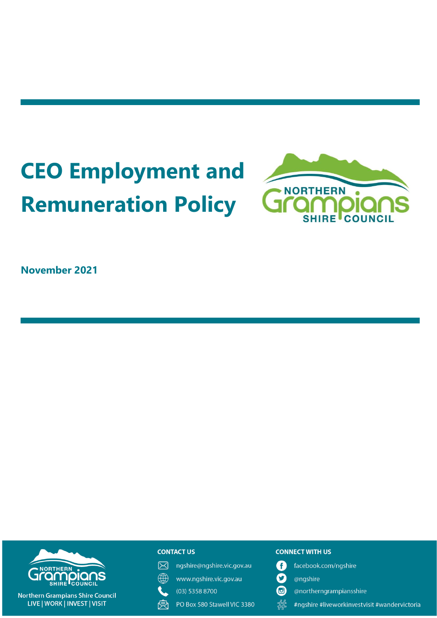# **CEO Employment and Remuneration Policy**



**November 2021**



**Northern Grampians Shire Council** LIVE | WORK | INVEST | VISIT

## **CONTACT US**

 $\boxtimes$ ngshire@ngshire.vic.gov.au

 $\mathbb{R}$ www.ngshire.vic.gov.au

 $(03)$  5358 8700

受 PO Box 580 Stawell VIC 3380

#### **CONNECT WITH US**

- O facebook.com/ngshire
- $\mathbf O$ @ngshire
- $\mathbf{G}$ @northerngrampiansshire
- 器 #ngshire #liveworkinvestvisit #wandervictoria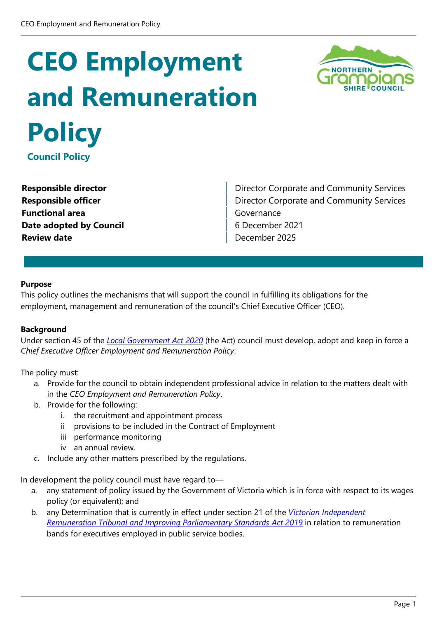## **CEO Employment and Remuneration Policy Council Policy**

**Functional area** Governance **Date adopted by Council Council** 6 December 2021 **Review date December 2025** 

**Responsible director Community Services Responsible director** Corporate and Community Services **Responsible officer Director Corporate and Community Services** 

#### **Purpose**

This policy outlines the mechanisms that will support the council in fulfilling its obligations for the employment, management and remuneration of the council's Chief Executive Officer (CEO).

#### **Background**

Under section 45 of the *[Local Government Act 2020](https://content.legislation.vic.gov.au/sites/default/files/2020-03/20-009aa%20authorised_0.pdf)* (the Act) council must develop, adopt and keep in force a *Chief Executive Officer Employment and Remuneration Policy*.

The policy must:

- a. Provide for the council to obtain independent professional advice in relation to the matters dealt with in the *CEO Employment and Remuneration Policy*.
- b. Provide for the following:
	- i. the recruitment and appointment process
	- ii provisions to be included in the Contract of Employment
	- iii performance monitoring
	- iv an annual review.
- c. Include any other matters prescribed by the regulations.

In development the policy council must have regard to—

- a. any statement of policy issued by the Government of Victoria which is in force with respect to its wages policy (or equivalent); and
- b. any Determination that is currently in effect under section 21 of the *Victorian [Independent](https://www.legislation.vic.gov.au/in-force/acts/victorian-independent-remuneration-tribunal-and-improving-parliamentary-standards-act/004)  [Remuneration Tribunal and Improving Parliamentary Standards](https://www.legislation.vic.gov.au/in-force/acts/victorian-independent-remuneration-tribunal-and-improving-parliamentary-standards-act/004) Act 2019* in relation to remuneration bands for executives employed in public service bodies.

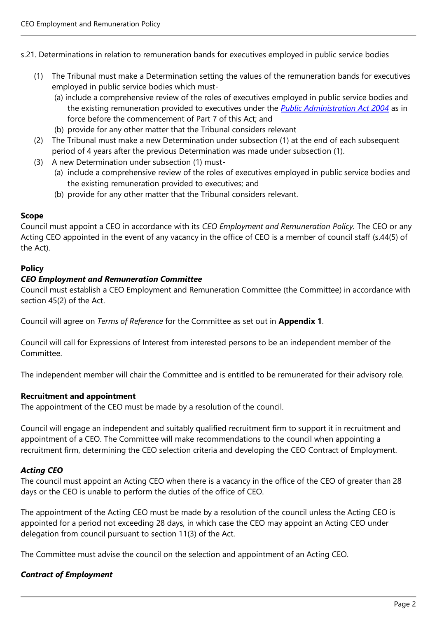s.21. Determinations in relation to remuneration bands for executives employed in public service bodies

- (1) The Tribunal must make a Determination setting the values of the remuneration bands for executives employed in public service bodies which must-
	- (a) include a comprehensive review of the roles of executives employed in public service bodies and the existing remuneration provided to executives under the *[Public Administration Act 2004](https://content.legislation.vic.gov.au/sites/default/files/2021-06/04-108aa079%20authorised_0.pdf)* as in force before the commencement of Part 7 of this Act; and
	- (b) provide for any other matter that the Tribunal considers relevant
- (2) The Tribunal must make a new Determination under subsection (1) at the end of each subsequent period of 4 years after the previous Determination was made under subsection (1).
- (3) A new Determination under subsection (1) must-
	- (a) include a comprehensive review of the roles of executives employed in public service bodies and the existing remuneration provided to executives; and
	- (b) provide for any other matter that the Tribunal considers relevant.

#### **Scope**

Council must appoint a CEO in accordance with its *CEO Employment and Remuneration Policy.* The CEO or any Acting CEO appointed in the event of any vacancy in the office of CEO is a member of council staff (s.44(5) of the Act).

## **Policy**

#### *CEO Employment and Remuneration Committee*

Council must establish a CEO Employment and Remuneration Committee (the Committee) in accordance with section 45(2) of the Act.

Council will agree on *Terms of Reference* for the Committee as set out in **Appendix 1**.

Council will call for Expressions of Interest from interested persons to be an independent member of the Committee.

The independent member will chair the Committee and is entitled to be remunerated for their advisory role.

## **Recruitment and appointment**

The appointment of the CEO must be made by a resolution of the council.

Council will engage an independent and suitably qualified recruitment firm to support it in recruitment and appointment of a CEO. The Committee will make recommendations to the council when appointing a recruitment firm, determining the CEO selection criteria and developing the CEO Contract of Employment.

## *Acting CEO*

The council must appoint an Acting CEO when there is a vacancy in the office of the CEO of greater than 28 days or the CEO is unable to perform the duties of the office of CEO.

The appointment of the Acting CEO must be made by a resolution of the council unless the Acting CEO is appointed for a period not exceeding 28 days, in which case the CEO may appoint an Acting CEO under delegation from council pursuant to section 11(3) of the Act.

The Committee must advise the council on the selection and appointment of an Acting CEO.

## *Contract of Employment*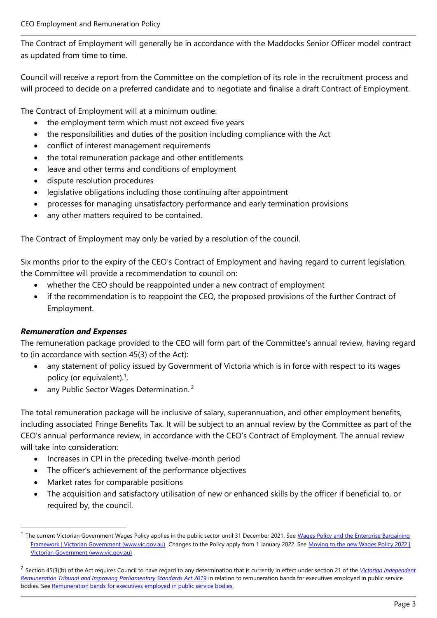The Contract of Employment will generally be in accordance with the Maddocks Senior Officer model contract as updated from time to time.

Council will receive a report from the Committee on the completion of its role in the recruitment process and will proceed to decide on a preferred candidate and to negotiate and finalise a draft Contract of Employment.

The Contract of Employment will at a minimum outline:

- the employment term which must not exceed five years
- the responsibilities and duties of the position including compliance with the Act
- conflict of interest management requirements
- the total remuneration package and other entitlements
- leave and other terms and conditions of employment
- dispute resolution procedures
- legislative obligations including those continuing after appointment
- processes for managing unsatisfactory performance and early termination provisions
- any other matters required to be contained.

The Contract of Employment may only be varied by a resolution of the council.

Six months prior to the expiry of the CEO's Contract of Employment and having regard to current legislation, the Committee will provide a recommendation to council on:

- whether the CEO should be reappointed under a new contract of employment
- if the recommendation is to reappoint the CEO, the proposed provisions of the further Contract of Employment.

## *Remuneration and Expenses*

The remuneration package provided to the CEO will form part of the Committee's annual review, having regard to (in accordance with section 45(3) of the Act):

- any statement of policy issued by Government of Victoria which is in force with respect to its wages policy (or equivalent).<sup>1</sup>,
- any Public Sector Wages Determination.<sup>2</sup>

The total remuneration package will be inclusive of salary, superannuation, and other employment benefits, including associated Fringe Benefits Tax. It will be subject to an annual review by the Committee as part of the CEO's annual performance review, in accordance with the CEO's Contract of Employment. The annual review will take into consideration:

- Increases in CPI in the preceding twelve-month period
- The officer's achievement of the performance objectives
- Market rates for comparable positions
- The acquisition and satisfactory utilisation of new or enhanced skills by the officer if beneficial to, or required by, the council.

<sup>&</sup>lt;sup>1</sup> The current Victorian Government Wages Policy applies in the public sector until 31 December 2021. See Wages Policy and the Enterprise Bargaining [Framework | Victorian Government \(www.vic.gov.au\)](https://www.vic.gov.au/wages-policy-and-enterprise-bargaining-framework) Changes to the Policy apply from 1 January 2022. See Moving to the new Wages Policy 2022 | [Victorian Government \(www.vic.gov.au\)](https://www.vic.gov.au/moving-new-wages-policy-2022)

<sup>2</sup> Section 45(3)(b) of the Act requires Council to have regard to any determination that is currently in effect under section 21 of the *[Victorian Independent](https://content.legislation.vic.gov.au/sites/default/files/2020-03/20-009aa%20authorised_0.pdf)  [Remuneration Tribunal and Improving Parliamentary Standards Act 2019](https://content.legislation.vic.gov.au/sites/default/files/2020-03/20-009aa%20authorised_0.pdf)* in relation to remuneration bands for executives employed in public service bodies. Se[e Remuneration bands for executives employed in public service bodies.](https://www.vic.gov.au/tribunals-determination-vps-executive-remuneration-bands)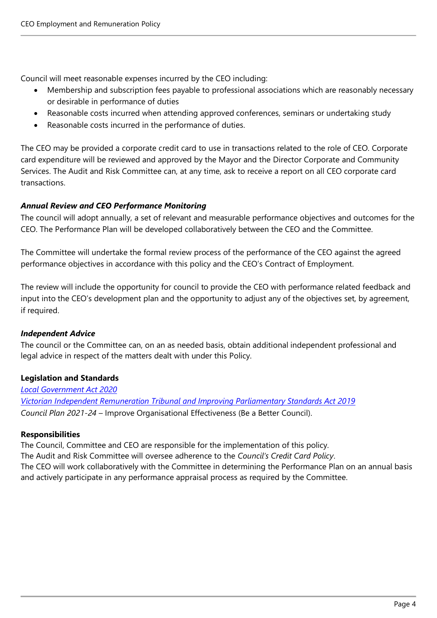Council will meet reasonable expenses incurred by the CEO including:

- Membership and subscription fees payable to professional associations which are reasonably necessary or desirable in performance of duties
- Reasonable costs incurred when attending approved conferences, seminars or undertaking study
- Reasonable costs incurred in the performance of duties.

The CEO may be provided a corporate credit card to use in transactions related to the role of CEO. Corporate card expenditure will be reviewed and approved by the Mayor and the Director Corporate and Community Services. The Audit and Risk Committee can, at any time, ask to receive a report on all CEO corporate card transactions.

## *Annual Review and CEO Performance Monitoring*

The council will adopt annually, a set of relevant and measurable performance objectives and outcomes for the CEO. The Performance Plan will be developed collaboratively between the CEO and the Committee.

The Committee will undertake the formal review process of the performance of the CEO against the agreed performance objectives in accordance with this policy and the CEO's Contract of Employment.

The review will include the opportunity for council to provide the CEO with performance related feedback and input into the CEO's development plan and the opportunity to adjust any of the objectives set, by agreement, if required.

## *Independent Advice*

The council or the Committee can, on an as needed basis, obtain additional independent professional and legal advice in respect of the matters dealt with under this Policy.

## **Legislation and Standards**

*[Local Government Act 2020](https://content.legislation.vic.gov.au/sites/default/files/2020-03/20-009aa%20authorised_0.pdf) [Victorian Independent Remuneration Tribunal and Improving Parliamentary Standards Act 2019](https://www.legislation.vic.gov.au/in-force/acts/victorian-independent-remuneration-tribunal-and-improving-parliamentary-standards-act/004) Council Plan 2021-24 –* Improve Organisational Effectiveness (Be a Better Council).

## **Responsibilities**

The Council, Committee and CEO are responsible for the implementation of this policy. The Audit and Risk Committee will oversee adherence to the *Council's Credit Card Policy*. The CEO will work collaboratively with the Committee in determining the Performance Plan on an annual basis and actively participate in any performance appraisal process as required by the Committee.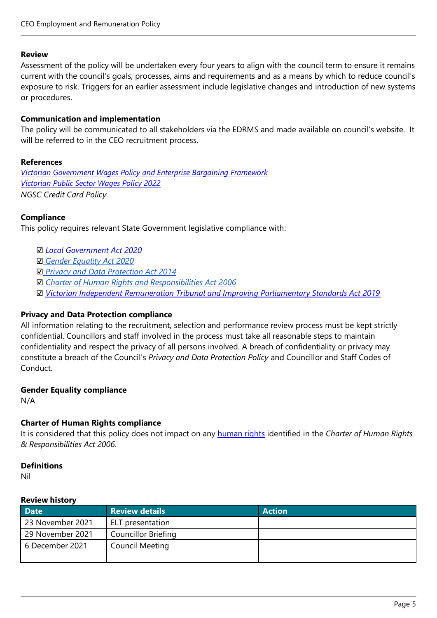#### **Review**

Assessment of the policy will be undertaken every four years to align with the council term to ensure it remains current with the council's goals, processes, aims and requirements and as a means by which to reduce council's exposure to risk. Triggers for an earlier assessment include legislative changes and introduction of new systems or procedures.

#### **Communication and implementation**

The policy will be communicated to all stakeholders via the EDRMS and made available on council's website. It will be referred to in the CEO recruitment process.

#### **References**

*[Victorian Government Wages Policy and Enterprise Bargaining Framework](https://www.vic.gov.au/wages-policy-and-enterprise-bargaining-framework) [Victorian Public Sector Wages Policy 2022](https://www.vic.gov.au/moving-new-wages-policy-2022) NGSC Credit Card Policy*

## **Compliance**

This policy requires relevant State Government legislative compliance with:

- ☑ *[Local Government Act 2020](https://content.legislation.vic.gov.au/sites/default/files/2020-03/20-009aa%20authorised_0.pdf)*
- ☑ *[Gender Equality Act 2020](#page-5-0)*
- ☑ *[Privacy and Data Protection Act 2014](#page-5-1)*
- ☑ *[Charter of Human Rights and Responsibilities Act 2006](#page-5-2)*
- ☑ *[Victorian Independent Remuneration Tribunal and Improving Parliamentary Standards Act 2019](https://www.legislation.vic.gov.au/in-force/acts/victorian-independent-remuneration-tribunal-and-improving-parliamentary-standards-act/004)*

## <span id="page-5-1"></span>**Privacy and Data Protection compliance**

All information relating to the recruitment, selection and performance review process must be kept strictly confidential. Councillors and staff involved in the process must take all reasonable steps to maintain confidentiality and respect the privacy of all persons involved. A breach of confidentiality or privacy may constitute a breach of the Council's *Privacy and Data Protection Policy* and Councillor and Staff Codes of Conduct.

#### <span id="page-5-0"></span>**Gender Equality compliance**

<span id="page-5-2"></span>N/A

## **Charter of Human Rights compliance**

It is considered that this policy does not impact on any [human rights](https://teams.microsoft.com/l/file/421D1778-2B3C-4C3A-BD12-F741B3F33954?tenantId=a9029f46-516d-4f1d-942e-ebeea0cc6bfe&fileType=docx&objectUrl=https%3A%2F%2Fnortherngrampiansshire.sharepoint.com%2Fsites%2FGovernance%2FShared%20Documents%2FGeneral%2FPolicies%2FPolicies%20General%2FHuman%20Rights.docx&baseUrl=https%3A%2F%2Fnortherngrampiansshire.sharepoint.com%2Fsites%2FGovernance&serviceName=teams&threadId=19:d63d60d28a9443c0a59fca15519e86e6@thread.tacv2&groupId=e47f1b23-c74f-4e88-afd9-801d8736921e) identified in the *Charter of Human Rights & Responsibilities Act 2006.*

#### **Definitions**

Nil

#### **Review history**

| <b>Date</b>      | <b>Review details</b>      | <b>Action</b> |
|------------------|----------------------------|---------------|
| 23 November 2021 | ELT presentation           |               |
| 29 November 2021 | <b>Councillor Briefing</b> |               |
| 6 December 2021  | <b>Council Meeting</b>     |               |
|                  |                            |               |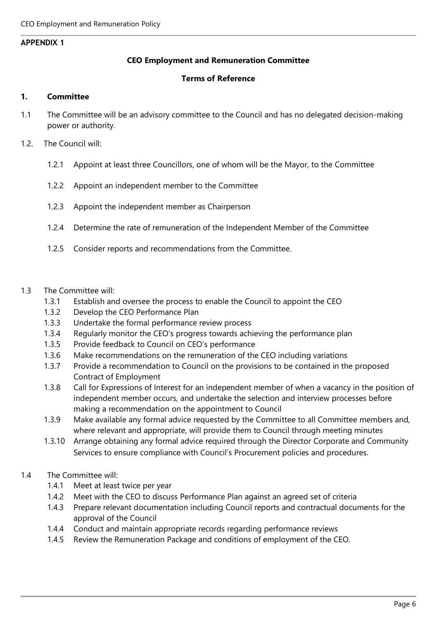#### **APPENDIX 1**

#### **CEO Employment and Remuneration Committee**

#### **Terms of Reference**

#### **1. Committee**

- 1.1 The Committee will be an advisory committee to the Council and has no delegated decision-making power or authority.
- 1.2. The Council will:
	- 1.2.1 Appoint at least three Councillors, one of whom will be the Mayor, to the Committee
	- 1.2.2 Appoint an independent member to the Committee
	- 1.2.3 Appoint the independent member as Chairperson
	- 1.2.4 Determine the rate of remuneration of the Independent Member of the Committee
	- 1.2.5 Consider reports and recommendations from the Committee.

#### 1.3 The Committee will:

- 1.3.1 Establish and oversee the process to enable the Council to appoint the CEO
- 1.3.2 Develop the CEO Performance Plan
- 1.3.3 Undertake the formal performance review process
- 1.3.4 Regularly monitor the CEO's progress towards achieving the performance plan
- 1.3.5 Provide feedback to Council on CEO's performance
- 1.3.6 Make recommendations on the remuneration of the CEO including variations
- 1.3.7 Provide a recommendation to Council on the provisions to be contained in the proposed Contract of Employment
- 1.3.8 Call for Expressions of Interest for an independent member of when a vacancy in the position of independent member occurs, and undertake the selection and interview processes before making a recommendation on the appointment to Council
- 1.3.9 Make available any formal advice requested by the Committee to all Committee members and, where relevant and appropriate, will provide them to Council through meeting minutes
- 1.3.10 Arrange obtaining any formal advice required through the Director Corporate and Community Services to ensure compliance with Council's Procurement policies and procedures.

## 1.4 The Committee will:

- 1.4.1 Meet at least twice per year
- 1.4.2 Meet with the CEO to discuss Performance Plan against an agreed set of criteria
- 1.4.3 Prepare relevant documentation including Council reports and contractual documents for the approval of the Council
- 1.4.4 Conduct and maintain appropriate records regarding performance reviews
- 1.4.5 Review the Remuneration Package and conditions of employment of the CEO.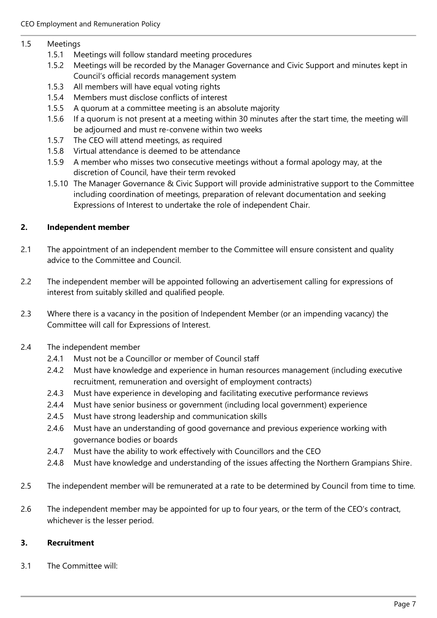#### 1.5 Meetings

- 1.5.1 Meetings will follow standard meeting procedures
- 1.5.2 Meetings will be recorded by the Manager Governance and Civic Support and minutes kept in Council's official records management system
- 1.5.3 All members will have equal voting rights
- 1.5.4 Members must disclose conflicts of interest
- 1.5.5 A quorum at a committee meeting is an absolute majority
- 1.5.6 If a quorum is not present at a meeting within 30 minutes after the start time, the meeting will be adjourned and must re-convene within two weeks
- 1.5.7 The CEO will attend meetings, as required
- 1.5.8 Virtual attendance is deemed to be attendance
- 1.5.9 A member who misses two consecutive meetings without a formal apology may, at the discretion of Council, have their term revoked
- 1.5.10 The Manager Governance & Civic Support will provide administrative support to the Committee including coordination of meetings, preparation of relevant documentation and seeking Expressions of Interest to undertake the role of independent Chair.

## **2. Independent member**

- 2.1 The appointment of an independent member to the Committee will ensure consistent and quality advice to the Committee and Council.
- 2.2 The independent member will be appointed following an advertisement calling for expressions of interest from suitably skilled and qualified people.
- 2.3 Where there is a vacancy in the position of Independent Member (or an impending vacancy) the Committee will call for Expressions of Interest.
- 2.4 The independent member
	- 2.4.1 Must not be a Councillor or member of Council staff
	- 2.4.2 Must have knowledge and experience in human resources management (including executive recruitment, remuneration and oversight of employment contracts)
	- 2.4.3 Must have experience in developing and facilitating executive performance reviews
	- 2.4.4 Must have senior business or government (including local government) experience
	- 2.4.5 Must have strong leadership and communication skills
	- 2.4.6 Must have an understanding of good governance and previous experience working with governance bodies or boards
	- 2.4.7 Must have the ability to work effectively with Councillors and the CEO
	- 2.4.8 Must have knowledge and understanding of the issues affecting the Northern Grampians Shire.
- 2.5 The independent member will be remunerated at a rate to be determined by Council from time to time.
- 2.6 The independent member may be appointed for up to four years, or the term of the CEO's contract, whichever is the lesser period.

## **3. Recruitment**

3.1 The Committee will: